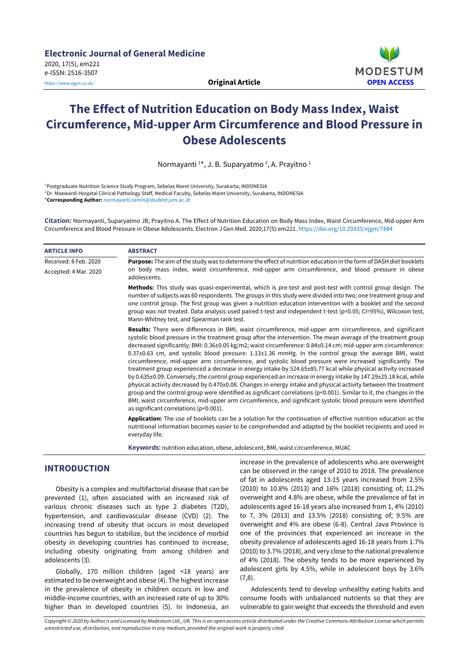

# **The Effect of Nutrition Education on Body Mass Index, Waist Circumference, Mid-upper Arm Circumference and Blood Pressure in Obese Adolescents**

Normayanti<sup>1\*</sup>, J. B. Suparyatmo<sup>2</sup>, A. Prayitno<sup>1</sup>

<sup>1</sup>Postgraduate Nutrition Science Study Program, Sebelas Maret University, Surakarta, INDONESIA

<sup>2</sup>Dr. Moewardi Hospital Clinical Pathology Staff, Medical Faculty, Sebelas Maret University, Surakarta, INDONESIA \***Corresponding Author:** [normayanti.tamin@student,uns.ac.id](mailto:author@email.org)

**Citation:** Normayanti, Suparyatmo JB, Prayitno A. The Effect of Nutrition Education on Body Mass Index, Waist Circumference, Mid-upper Arm Circumference and Blood Pressure in Obese Adolescents. Electron J Gen Med. 2020;17(5):em221. <https://doi.org/10.29333/ejgm/7884>

| <b>ARTICLE INFO</b>                            | <b>ABSTRACT</b>                                                                                                                                                                                                                                                                                                                                                                                                                                                                                                                                                                                                                                                                                                                                                                                                                                                                                                                                                                                                                                                                                                                                                                                                                                                                                                                                          |
|------------------------------------------------|----------------------------------------------------------------------------------------------------------------------------------------------------------------------------------------------------------------------------------------------------------------------------------------------------------------------------------------------------------------------------------------------------------------------------------------------------------------------------------------------------------------------------------------------------------------------------------------------------------------------------------------------------------------------------------------------------------------------------------------------------------------------------------------------------------------------------------------------------------------------------------------------------------------------------------------------------------------------------------------------------------------------------------------------------------------------------------------------------------------------------------------------------------------------------------------------------------------------------------------------------------------------------------------------------------------------------------------------------------|
| Received: 8 Feb. 2020<br>Accepted: 4 Mar. 2020 | <b>Purpose:</b> The aim of the study was to determine the effect of nutrition education in the form of DASH diet booklets<br>on body mass index, waist circumference, mid-upper arm circumference, and blood pressure in obese<br>adolescents.                                                                                                                                                                                                                                                                                                                                                                                                                                                                                                                                                                                                                                                                                                                                                                                                                                                                                                                                                                                                                                                                                                           |
|                                                | Methods: This study was quasi-experimental, which is pre-test and post-test with control group design. The<br>number of subjects was 60 respondents. The groups in this study were divided into two; one treatment group and<br>one control group. The first group was given a nutrition education intervention with a booklet and the second<br>group was not treated. Data analysis used paired t-test and independent t-test (p=0.05; CI=95%), Wilcoxon test,<br>Mann-Whitney test, and Spearman rank test.                                                                                                                                                                                                                                                                                                                                                                                                                                                                                                                                                                                                                                                                                                                                                                                                                                           |
|                                                | Results: There were differences in BMI, waist circumference, mid-upper arm circumference, and significant<br>systolic blood pressure in the treatment group after the intervention. The mean average of the treatment group<br>decreased significantly; BMI: 0.36±0.05 kg/m2; waist circumference: 0.84±0.14 cm; mid-upper arm circumference:<br>$0.37\pm0.63$ cm, and systolic blood pressure: $1.13\pm1.36$ mmHg. In the control group the average BMI, waist<br>circumference, mid-upper arm circumference, and systolic blood pressure were increased significantly. The<br>treatment group experienced a decrease in energy intake by 524.65±85.77 kcal while physical activity increased<br>by 0.635±0.09. Conversely, the control group experienced an increase in energy intake by 147.29±25.18 kcal, while<br>physical activity decreased by 0.470±0.08. Changes in energy intake and physical activity between the treatment<br>group and the control group were identified as significant correlations ( $p<0.001$ ). Similar to it, the changes in the<br>BMI, waist circumference, mid-upper arm circumference, and significant systolic blood pressure were identified<br>as significant correlations (p<0.001).<br><b>Application:</b> The use of booklets can be a solution for the continuation of effective nutrition education as the |
|                                                | nutritional information becomes easier to be comprehended and adapted by the booklet recipients and used in<br>everyday life.                                                                                                                                                                                                                                                                                                                                                                                                                                                                                                                                                                                                                                                                                                                                                                                                                                                                                                                                                                                                                                                                                                                                                                                                                            |
|                                                |                                                                                                                                                                                                                                                                                                                                                                                                                                                                                                                                                                                                                                                                                                                                                                                                                                                                                                                                                                                                                                                                                                                                                                                                                                                                                                                                                          |

**Keywords:** nutrition education, obese, adolescent, BMI, waist circumference, MUAC

# **INTRODUCTION**

Obesity is a complex and multifactorial disease that can be prevented (1), often associated with an increased risk of various chronic diseases such as type 2 diabetes (T2D), hypertension, and cardiovascular disease (CVD) (2). The increasing trend of obesity that occurs in most developed countries has begun to stabilize, but the incidence of morbid obesity in developing countries has continued to increase, including obesity originating from among children and adolescents (3).

Globally, 170 million children (aged <18 years) are estimated to be overweight and obese (4). The highest increase in the prevalence of obesity in children occurs in low and middle-income countries, with an increased rate of up to 30% higher than in developed countries (5). In Indonesia, an increase in the prevalence of adolescents who are overweight can be observed in the range of 2010 to 2018. The prevalence of fat in adolescents aged 13-15 years increased from 2.5% (2010) to 10.8% (2013) and 16% (2018) consisting of; 11.2% overweight and 4.8% are obese, while the prevalence of fat in adolescents aged 16-18 years also increased from 1, 4% (2010) to 7, 3% (2013) and 13.5% (2018) consisting of; 9.5% are overweight and 4% are obese (6-8). Central Java Province is one of the provinces that experienced an increase in the obesity prevalence of adolescents aged 16-18 years from 1.7% (2010) to 3.7% (2018), and very close to the national prevalence of 4% (2018). The obesity tends to be more experienced by adolescent girls by 4.5%, while in adolescent boys by 3.6%  $(7,8)$ .

Adolescents tend to develop unhealthy eating habits and consume foods with unbalanced nutrients so that they are vulnerable to gain weight that exceeds the threshold and even

Copyright © 2020 by Author/s and Licensed by Modestum Ltd., UK. This is an open access article distributed under the Creative Commons Attribution License which permits *unrestricted use, distribution, and reproduction in any medium, provided the original work is properly cited.*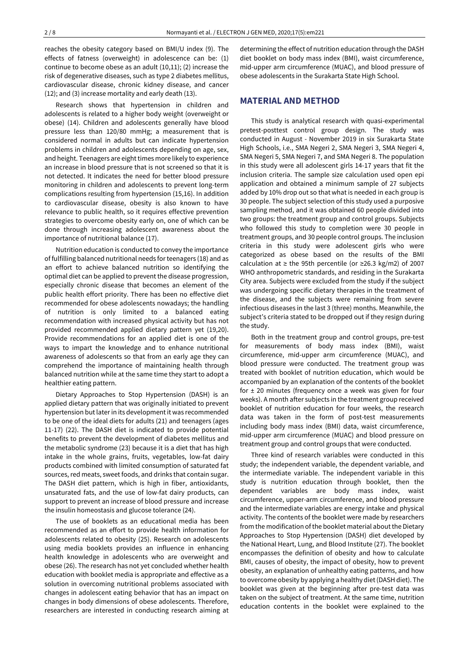reaches the obesity category based on BMI/U index (9). The effects of fatness (overweight) in adolescence can be: (1) continue to become obese as an adult (10,11); (2) increase the risk of degenerative diseases, such as type 2 diabetes mellitus, cardiovascular disease, chronic kidney disease, and cancer (12); and (3) increase mortality and early death (13).

Research shows that hypertension in children and adolescents is related to a higher body weight (overweight or obese) (14). Children and adolescents generally have blood pressure less than 120/80 mmHg; a measurement that is considered normal in adults but can indicate hypertension problems in children and adolescents depending on age, sex, and height. Teenagers are eight times more likely to experience an increase in blood pressure that is not screened so that it is not detected. It indicates the need for better blood pressure monitoring in children and adolescents to prevent long-term complications resulting from hypertension (15,16). In addition to cardiovascular disease, obesity is also known to have relevance to public health, so it requires effective prevention strategies to overcome obesity early on, one of which can be done through increasing adolescent awareness about the importance of nutritional balance (17).

Nutrition education is conducted to convey the importance of fulfilling balanced nutritional needs forteenagers (18) and as an effort to achieve balanced nutrition so identifying the optimal diet can be applied to prevent the disease progression, especially chronic disease that becomes an element of the public health effort priority. There has been no effective diet recommended for obese adolescents nowadays; the handling of nutrition is only limited to a balanced eating recommendation with increased physical activity but has not provided recommended applied dietary pattern yet (19,20). Provide recommendations for an applied diet is one of the ways to impart the knowledge and to enhance nutritional awareness of adolescents so that from an early age they can comprehend the importance of maintaining health through balanced nutrition while at the same time they start to adopt a healthier eating pattern.

Dietary Approaches to Stop Hypertension (DASH) is an applied dietary pattern that was originally initiated to prevent hypertension but later in its development it was recommended to be one of the ideal diets for adults (21) and teenagers (ages 11-17) (22). The DASH diet is indicated to provide potential benefits to prevent the development of diabetes mellitus and the metabolic syndrome (23) because it is a diet that has high intake in the whole grains, fruits, vegetables, low-fat dairy products combined with limited consumption of saturated fat sources, red meats, sweet foods, and drinks that contain sugar. The DASH diet pattern, which is high in fiber, antioxidants, unsaturated fats, and the use of low-fat dairy products, can support to prevent an increase of blood pressure and increase the insulin homeostasis and glucose tolerance (24).

The use of booklets as an educational media has been recommended as an effort to provide health information for adolescents related to obesity (25). Research on adolescents using media booklets provides an influence in enhancing health knowledge in adolescents who are overweight and obese (26). The research has not yet concluded whether health education with booklet media is appropriate and effective as a solution in overcoming nutritional problems associated with changes in adolescent eating behavior that has an impact on changes in body dimensions of obese adolescents. Therefore, researchers are interested in conducting research aiming at determining the effect of nutrition education through the DASH diet booklet on body mass index (BMI), waist circumference, mid-upper arm circumference (MUAC), and blood pressure of obese adolescents in the Surakarta State High School.

# **MATERIAL AND METHOD**

This study is analytical research with quasi-experimental pretest-posttest control group design. The study was conducted in August - November 2019 in six Surakarta State High Schools, i.e., SMA Negeri 2, SMA Negeri 3, SMA Negeri 4, SMA Negeri 5, SMA Negeri 7, and SMA Negeri 8. The population in this study were all adolescent girls 14-17 years that fit the inclusion criteria. The sample size calculation used open epi application and obtained a minimum sample of 27 subjects added by 10% drop out so that what is needed in each group is 30 people. The subject selection of this study used a purposive sampling method, and it was obtained 60 people divided into two groups: the treatment group and control groups. Subjects who followed this study to completion were 30 people in treatment groups, and 30 people control groups. The inclusion criteria in this study were adolescent girls who were categorized as obese based on the results of the BMI calculation at ≥ the 95th percentile (or ≥26.3 kg/m2) of 2007 WHO anthropometric standards, and residing in the Surakarta City area. Subjects were excluded from the study if the subject was undergoing specific dietary therapies in the treatment of the disease, and the subjects were remaining from severe infectious diseases in the last 3 (three) months. Meanwhile, the subject's criteria stated to be dropped out if they resign during the study.

Both in the treatment group and control groups, pre-test for measurements of body mass index (BMI), waist circumference, mid-upper arm circumference (MUAC), and blood pressure were conducted. The treatment group was treated with booklet of nutrition education, which would be accompanied by an explanation of the contents of the booklet for  $\pm$  20 minutes (frequency once a week was given for four weeks). A month after subjects in the treatment group received booklet of nutrition education for four weeks, the research data was taken in the form of post-test measurements including body mass index (BMI) data, waist circumference, mid-upper arm circumference (MUAC) and blood pressure on treatment group and control groups that were conducted.

Three kind of research variables were conducted in this study; the independent variable, the dependent variable, and the intermediate variable. The independent variable in this study is nutrition education through booklet, then the dependent variables are body mass index, waist circumference, upper-arm circumference, and blood pressure and the intermediate variables are energy intake and physical activity. The contents of the booklet were made by researchers from the modification of the booklet material about the Dietary Approaches to Stop Hypertension (DASH) diet developed by the National Heart, Lung, and Blood Institute (27). The booklet encompasses the definition of obesity and how to calculate BMI, causes of obesity, the impact of obesity, how to prevent obesity, an explanation of unhealthy eating patterns, and how to overcome obesity by applying a healthy diet (DASH diet). The booklet was given at the beginning after pre-test data was taken on the subject of treatment. At the same time, nutrition education contents in the booklet were explained to the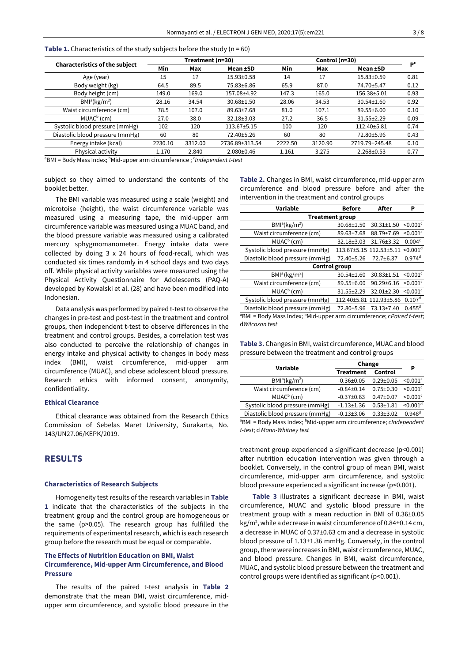|                                       |         | Treatment (n=30) |                  |         | Control (n=30) |                  | D <sup>c</sup> |
|---------------------------------------|---------|------------------|------------------|---------|----------------|------------------|----------------|
| <b>Characteristics of the subject</b> | Min     | Max              | Mean ±SD         | Min     | Max            | Mean ±SD         |                |
| Age (year)                            | 15      | 17               | 15.93±0.58       | 14      | 17             | 15.83±0.59       | 0.81           |
| Body weight (kg)                      | 64.5    | 89.5             | 75.83±6.86       | 65.9    | 87.0           | 74.70±5.47       | 0.12           |
| Body height (cm)                      | 149.0   | 169.0            | 157.08±4.92      | 147.3   | 165.0          | 156.38±5.01      | 0.93           |
| BMl <sup>a</sup> (kg/m <sup>2</sup> ) | 28.16   | 34.54            | $30.68 \pm 1.50$ | 28.06   | 34.53          | $30.54 \pm 1.60$ | 0.92           |
| Waist circumference (cm)              | 78.5    | 107.0            | 89.63±7.68       | 81.0    | 107.1          | $89.55 \pm 6.00$ | 0.10           |
| $MUACb$ (cm)                          | 27.0    | 38.0             | 32.18±3.03       | 27.2    | 36.5           | $31.55 + 2.29$   | 0.09           |
| Systolic blood pressure (mmHg)        | 102     | 120              | 113.67±5.15      | 100     | 120            | 112.40±5.81      | 0.74           |
| Diastolic blood pressure (mmHg)       | 60      | 80               | 72.40±5.26       | 60      | 80             | 72.80±5.96       | 0.43           |
| Energy intake (kcal)                  | 2230.10 | 3312.00          | 2736.89±313.54   | 2222.50 | 3120.90        | 2719.79±245.48   | 0.10           |
| Physical activity                     | 1.170   | 2.840            | $2.080 \pm 0.46$ | 1.161   | 3.275          | $2.268 \pm 0.53$ | 0.77           |
|                                       |         |                  |                  |         |                |                  |                |

**Table 1.** Characteristics of the study subjects before the study (n = 60)

<sup>a</sup>BMI = Body Mass Index; <sup>b</sup>Mid-upper arm circumference ; <sup>c</sup>Independent t-test

subject so they aimed to understand the contents of the booklet better.

The BMI variable was measured using a scale (weight) and microtoise (height), the waist circumference variable was measured using a measuring tape, the mid-upper arm circumference variable was measured using a MUAC band, and the blood pressure variable was measured using a calibrated mercury sphygmomanometer. Energy intake data were collected by doing 3 x 24 hours of food-recall, which was conducted six times randomly in 4 school days and two days off. While physical activity variables were measured using the Physical Activity Questionnaire for Adolescents (PAQ-A) developed by Kowalski et al. (28) and have been modified into Indonesian.

Data analysis was performed by paired t-test to observe the changes in pre-test and post-test in the treatment and control groups, then independent t-test to observe differences in the treatment and control groups. Besides, a correlation test was also conducted to perceive the relationship of changes in energy intake and physical activity to changes in body mass index (BMI), waist circumference, mid-upper arm circumference (MUAC), and obese adolescent blood pressure. Research ethics with informed consent, anonymity, confidentiality.

#### **Ethical Clearance**

Ethical clearance was obtained from the Research Ethics Commission of Sebelas Maret University, Surakarta, No. 143/UN27.06/KEPK/2019.

# **RESULTS**

#### **Characteristics of Research Subjects**

Homogeneity test results of the research variables in **Table 1** indicate that the characteristics of the subjects in the treatment group and the control group are homogeneous or the same (p>0.05). The research group has fulfilled the requirements of experimental research, which is each research group before the research must be equal or comparable.

## **The Effects of Nutrition Education on BMI, Waist Circumference, Mid-upper Arm Circumference, and Blood Pressure**

The results of the paired t-test analysis in **Table 2** demonstrate that the mean BMI, waist circumference, midupper arm circumference, and systolic blood pressure in the **Table 2.** Changes in BMI, waist circumference, mid-upper arm circumference and blood pressure before and after the intervention in the treatment and control groups

| Variable                              | <b>Before</b> | After                   | Ρ                      |  |  |
|---------------------------------------|---------------|-------------------------|------------------------|--|--|
| <b>Treatment group</b>                |               |                         |                        |  |  |
| BMl <sup>a</sup> (kg/m <sup>2</sup> ) | 30.68±1.50    | $30.31 \pm 1.50$        | $< 0.001$ <sup>c</sup> |  |  |
| Waist circumference (cm)              | 89.63±7.68    | 88.79±7.69              | $< 0.001$ <sup>c</sup> |  |  |
| $MUACb$ (cm)                          | 32.18±3.03    | 31.76±3.32              | 0.004c                 |  |  |
| Systolic blood pressure (mmHg)        |               | 113.67±5.15 112.53±5.11 | $< 0.001$ <sup>d</sup> |  |  |
| Diastolic blood pressure (mmHg)       | 72.40±5.26    | 72.7±6.37               | $0.974$ <sup>d</sup>   |  |  |
| Control group                         |               |                         |                        |  |  |
| BMI <sup>a</sup> (kg/m <sup>2</sup> ) | 30.54±1.60    | $30.83 \pm 1.51$        | $< 0.001$ <sup>c</sup> |  |  |
| Waist circumference (cm)              | 89.55±6.00    | $90.29 + 6.16$          | $< 0.001$ <sup>c</sup> |  |  |
| $MUACb$ (cm)                          | 31.55±2.29    | 32.01±2.30              | $< 0.001$ <sup>c</sup> |  |  |
| Systolic blood pressure (mmHg)        | 112.40±5.81   | 112.93±5.86             | 0.107 <sup>d</sup>     |  |  |
| Diastolic blood pressure (mmHg)       | 72.80±5.96    | 73.13±7.40              | $0.455^{d}$            |  |  |

aBMI = Body Mass Index; <sup>b</sup>Mid-upper arm circumference; cPaired t-test; d*Wilcoxon test*

| Table 3. Changes in BMI, waist circumference, MUAC and blood |
|--------------------------------------------------------------|
| pressure between the treatment and control groups            |

| Variable                              | Change           | P               |                        |
|---------------------------------------|------------------|-----------------|------------------------|
|                                       | <b>Treatment</b> | Control         |                        |
| BMl <sup>a</sup> (kg/m <sup>2</sup> ) | $-0.36 \pm 0.05$ | $0.29 \pm 0.05$ | $< 0.001$ <sup>c</sup> |
| Waist circumference (cm)              | $-0.84 \pm 0.14$ | $0.75 \pm 0.30$ | $< 0.001$ <sup>c</sup> |
| $MUACb$ (cm)                          | $-0.37\pm0.63$   | $0.47 \pm 0.07$ | $< 0.001$ <sup>c</sup> |
| Systolic blood pressure (mmHg)        | $-1.13 \pm 1.36$ | $0.53 + 1.81$   | $< 0.001$ <sup>d</sup> |
| Diastolic blood pressure (mmHg)       | $-0.13 \pm 3.06$ | $0.33 \pm 3.02$ | $0.948^{d}$            |
|                                       |                  |                 |                        |

<sup>a</sup>BMI = Body Mass Index; <sup>b</sup>Mid-upper arm circumference; *cIndependent t-test*; d *Mann-Whitney test*

treatment group experienced a significant decrease (p<0.001) after nutrition education intervention was given through a booklet. Conversely, in the control group of mean BMI, waist circumference, mid-upper arm circumference, and systolic blood pressure experienced a significant increase (p<0.001).

**Table 3** illustrates a significant decrease in BMI, waist circumference, MUAC and systolic blood pressure in the treatment group with a mean reduction in BMI of 0.36±0.05 kg/m<sup>2</sup>, while a decrease in waist circumference of 0.84±0.14 cm, a decrease in MUAC of 0.37±0.63 cm and a decrease in systolic blood pressure of 1.13±1.36 mmHg. Conversely, in the control group, there were increases in BMI, waist circumference, MUAC, and blood pressure. Changes in BMI, waist circumference, MUAC, and systolic blood pressure between the treatment and control groups were identified as significant (p<0.001).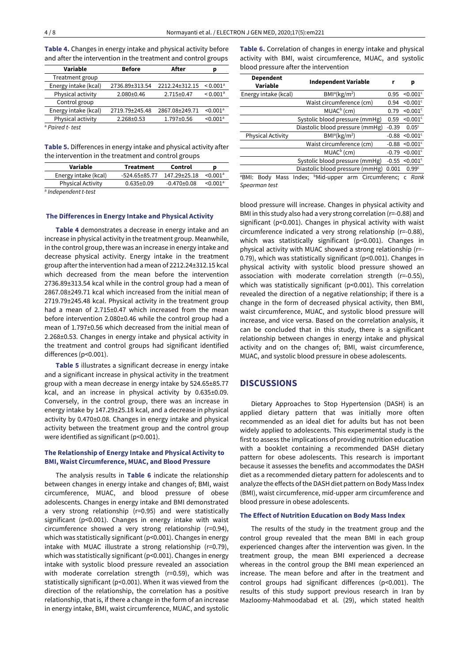**Table 4.** Changes in energy intake and physical activity before and after the intervention in the treatment and control groups

| Variable             | <b>Before</b>    | After            | p                      |
|----------------------|------------------|------------------|------------------------|
| Treatment group      |                  |                  |                        |
| Energy intake (kcal) | 2736.89±313.54   | 2212.24±312.15   | $< 0.001$ <sup>a</sup> |
| Physical activity    | $2.080 \pm 0.46$ | $2.715 \pm 0.47$ | $< 0.001$ <sup>a</sup> |
| Control group        |                  |                  |                        |
| Energy intake (kcal) | 2719.79±245.48   | 2867.08±249.71   | $< 0.001$ <sup>a</sup> |
| Physical activity    | $2.268 \pm 0.53$ | 1.797±0.56       | $< 0.001$ <sup>a</sup> |
| $a$ Dairod t, tost   |                  |                  |                        |

<sup>a</sup> *Paired t- test*

**Table 5.** Differences in energy intake and physical activity after the intervention in the treatment and control groups

| Variable                        | <b>Treatment</b>    | Control           |                      |
|---------------------------------|---------------------|-------------------|----------------------|
| Energy intake (kcal)            | $-524.65 \pm 85.77$ | 147.29+25.18      | < 0.001 <sup>a</sup> |
| <b>Physical Activity</b>        | $0.635 \pm 0.09$    | $-0.470 \pm 0.08$ | < 0.001 <sup>a</sup> |
| <sup>a</sup> Indonendent t-test |                     |                   |                      |

*Independent t-test*

#### **The Differences in Energy Intake and Physical Activity**

**Table 4** demonstrates a decrease in energy intake and an increase in physical activity in the treatment group. Meanwhile, in the control group, there was an increase in energy intake and decrease physical activity. Energy intake in the treatment group afterthe intervention had a mean of 2212.24±312.15 kcal which decreased from the mean before the intervention 2736.89±313.54 kcal while in the control group had a mean of 2867.08±249.71 kcal which increased from the initial mean of 2719.79±245.48 kcal. Physical activity in the treatment group had a mean of 2.715±0.47 which increased from the mean before intervention 2.080±0.46 while the control group had a mean of 1.797±0.56 which decreased from the initial mean of 2.268±0.53. Changes in energy intake and physical activity in the treatment and control groups had significant identified differences (p<0.001).

**Table 5** illustrates a significant decrease in energy intake and a significant increase in physical activity in the treatment group with a mean decrease in energy intake by 524.65±85.77 kcal, and an increase in physical activity by 0.635±0.09. Conversely, in the control group, there was an increase in energy intake by 147.29±25.18 kcal, and a decrease in physical activity by 0.470±0.08. Changes in energy intake and physical activity between the treatment group and the control group were identified as significant (p<0.001).

### **The Relationship of Energy Intake and Physical Activity to BMI, Waist Circumference, MUAC, and Blood Pressure**

The analysis results in **Table 6** indicate the relationship between changes in energy intake and changes of; BMI, waist circumference, MUAC, and blood pressure of obese adolescents. Changes in energy intake and BMI demonstrated a very strong relationship (r=0.95) and were statistically significant (p<0.001). Changes in energy intake with waist circumference showed a very strong relationship (r=0.94), which was statistically significant (p<0.001). Changes in energy intake with MUAC illustrate a strong relationship (r=0.79), which was statistically significant (p<0.001). Changes in energy intake with systolic blood pressure revealed an association with moderate correlation strength (r=0.59), which was statistically significant (p<0.001). When it was viewed from the direction of the relationship, the correlation has a positive relationship, that is, if there a change in the form of an increase in energy intake, BMI, waist circumference, MUAC, and systolic **Table 6.** Correlation of changes in energy intake and physical activity with BMI, waist circumference, MUAC, and systolic blood pressure after the intervention

| <b>Dependent</b><br>Variable | <b>Independent Variable</b>           |         | р                      |
|------------------------------|---------------------------------------|---------|------------------------|
| Energy intake (kcal)         | BMl <sup>a</sup> (kg/m <sup>2</sup> ) | 0.95    | $< 0.001$ <sup>c</sup> |
|                              | Waist circumference (cm)              | 0.94    | $< 0.001$ <sup>c</sup> |
|                              | $MUACb$ (cm)                          | 0.79    | $<$ 0.001 $<$          |
|                              | Systolic blood pressure (mmHg)        | 0.59    | $< 0.001$ <sup>c</sup> |
|                              | Diastolic blood pressure (mmHg)       | $-0.39$ | 0.05 <sup>c</sup>      |
| <b>Physical Activity</b>     | BMl <sup>a</sup> (kg/m <sup>2</sup> ) | $-0.88$ | $< 0.001$ <sup>c</sup> |
|                              | Waist circumference (cm)              | $-0.88$ | $< 0.001$ <sup>c</sup> |
|                              | $MUACb$ (cm)                          | $-0.79$ | $< 0.001$ <sup>c</sup> |
|                              | Systolic blood pressure (mmHg)        | $-0.55$ | $< 0.001$ <sup>c</sup> |
|                              | Diastolic blood pressure (mmHg)       | 0.001   | 0.99 <sup>c</sup>      |
| - - -                        |                                       |         | $\sim$ $\sim$          |

<sup>a</sup>BMI: Body Mass Index; <sup>b</sup>Mid-upper arm Circumferenc; c *Rank Spearman test*

blood pressure will increase. Changes in physical activity and BMI in this study also had a very strong correlation (r=-0.88) and significant (p<0.001). Changes in physical activity with waist circumference indicated a very strong relationship (r=-0.88), which was statistically significant (p<0.001). Changes in physical activity with MUAC showed a strong relationship (r=- 0.79), which was statistically significant (p<0.001). Changes in physical activity with systolic blood pressure showed an association with moderate correlation strength (r=-0.55), which was statistically significant (p<0.001). This correlation revealed the direction of a negative relationship; if there is a change in the form of decreased physical activity, then BMI, waist circumference, MUAC, and systolic blood pressure will increase, and vice versa. Based on the correlation analysis, it can be concluded that in this study, there is a significant relationship between changes in energy intake and physical activity and on the changes of; BMI, waist circumference, MUAC, and systolic blood pressure in obese adolescents.

## **DISCUSSIONS**

Dietary Approaches to Stop Hypertension (DASH) is an applied dietary pattern that was initially more often recommended as an ideal diet for adults but has not been widely applied to adolescents. This experimental study is the first to assess the implications of providing nutrition education with a booklet containing a recommended DASH dietary pattern for obese adolescents. This research is important because it assesses the benefits and accommodates the DASH diet as a recommended dietary pattern for adolescents and to analyze the effects of the DASH diet pattern on Body Mass Index (BMI), waist circumference, mid-upper arm circumference and blood pressure in obese adolescents.

#### **The Effect of Nutrition Education on Body Mass Index**

The results of the study in the treatment group and the control group revealed that the mean BMI in each group experienced changes after the intervention was given. In the treatment group, the mean BMI experienced a decrease whereas in the control group the BMI mean experienced an increase. The mean before and after in the treatment and control groups had significant differences (p<0.001). The results of this study support previous research in Iran by Mazloomy-Mahmoodabad et al. (29), which stated health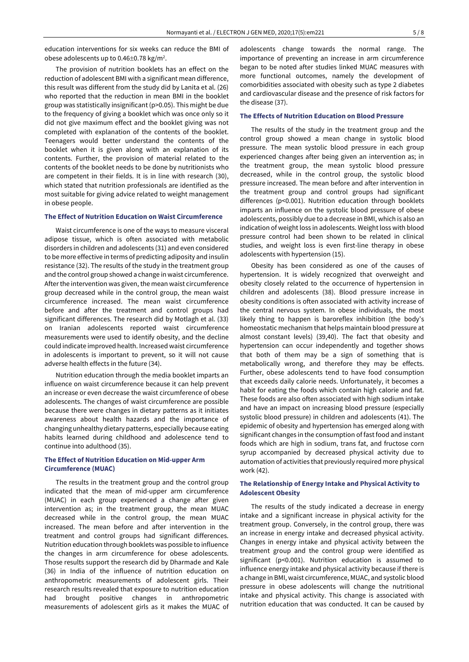education interventions for six weeks can reduce the BMI of obese adolescents up to 0.46 $\pm$ 0.78 kg/m<sup>2</sup>.

The provision of nutrition booklets has an effect on the reduction of adolescent BMI with a significant mean difference, this result was different from the study did by Lanita et al. (26) who reported that the reduction in mean BMI in the booklet group was statistically insignificant (p>0.05). This might be due to the frequency of giving a booklet which was once only so it did not give maximum effect and the booklet giving was not completed with explanation of the contents of the booklet. Teenagers would better understand the contents of the booklet when it is given along with an explanation of its contents. Further, the provision of material related to the contents of the booklet needs to be done by nutritionists who are competent in their fields. It is in line with research (30), which stated that nutrition professionals are identified as the most suitable for giving advice related to weight management in obese people.

#### **The Effect of Nutrition Education on Waist Circumference**

Waist circumference is one of the ways to measure visceral adipose tissue, which is often associated with metabolic disorders in children and adolescents (31) and even considered to be more effective in terms of predicting adiposity and insulin resistance (32). The results of the study in the treatment group and the control group showed a change in waist circumference. After the intervention was given, the mean waist circumference group decreased while in the control group, the mean waist circumference increased. The mean waist circumference before and after the treatment and control groups had significant differences. The research did by Motlagh et al. (33) on Iranian adolescents reported waist circumference measurements were used to identify obesity, and the decline could indicate improved health. Increased waist circumference in adolescents is important to prevent, so it will not cause adverse health effects in the future (34).

Nutrition education through the media booklet imparts an influence on waist circumference because it can help prevent an increase or even decrease the waist circumference of obese adolescents. The changes of waist circumference are possible because there were changes in dietary patterns as it initiates awareness about health hazards and the importance of changing unhealthy dietary patterns, especially because eating habits learned during childhood and adolescence tend to continue into adulthood (35).

### **The Effect of Nutrition Education on Mid-upper Arm Circumference (MUAC)**

The results in the treatment group and the control group indicated that the mean of mid-upper arm circumference (MUAC) in each group experienced a change after given intervention as; in the treatment group, the mean MUAC decreased while in the control group, the mean MUAC increased. The mean before and after intervention in the treatment and control groups had significant differences. Nutrition education through booklets was possible to influence the changes in arm circumference for obese adolescents. Those results support the research did by Dharmade and Kale (36) in India of the influence of nutrition education on anthropometric measurements of adolescent girls. Their research results revealed that exposure to nutrition education had brought positive changes in anthropometric measurements of adolescent girls as it makes the MUAC of

adolescents change towards the normal range. The importance of preventing an increase in arm circumference began to be noted after studies linked MUAC measures with more functional outcomes, namely the development of comorbidities associated with obesity such as type 2 diabetes and cardiovascular disease and the presence of risk factors for the disease (37).

## **The Effects of Nutrition Education on Blood Pressure**

The results of the study in the treatment group and the control group showed a mean change in systolic blood pressure. The mean systolic blood pressure in each group experienced changes after being given an intervention as; in the treatment group, the mean systolic blood pressure decreased, while in the control group, the systolic blood pressure increased. The mean before and after intervention in the treatment group and control groups had significant differences (p<0.001). Nutrition education through booklets imparts an influence on the systolic blood pressure of obese adolescents, possibly due to a decrease in BMI, which is also an indication of weight loss in adolescents. Weight loss with blood pressure control had been shown to be related in clinical studies, and weight loss is even first-line therapy in obese adolescents with hypertension (15).

Obesity has been considered as one of the causes of hypertension. It is widely recognized that overweight and obesity closely related to the occurrence of hypertension in children and adolescents (38). Blood pressure increase in obesity conditions is often associated with activity increase of the central nervous system. In obese individuals, the most likely thing to happen is baroreflex inhibition (the body's homeostatic mechanism that helps maintain blood pressure at almost constant levels) (39,40). The fact that obesity and hypertension can occur independently and together shows that both of them may be a sign of something that is metabolically wrong, and therefore they may be effects. Further, obese adolescents tend to have food consumption that exceeds daily calorie needs. Unfortunately, it becomes a habit for eating the foods which contain high calorie and fat. These foods are also often associated with high sodium intake and have an impact on increasing blood pressure (especially systolic blood pressure) in children and adolescents (41). The epidemic of obesity and hypertension has emerged along with significant changes in the consumption of fast food and instant foods which are high in sodium, trans fat, and fructose corn syrup accompanied by decreased physical activity due to automation of activities that previously required more physical work (42).

#### **The Relationship of Energy Intake and Physical Activity to Adolescent Obesity**

The results of the study indicated a decrease in energy intake and a significant increase in physical activity for the treatment group. Conversely, in the control group, there was an increase in energy intake and decreased physical activity. Changes in energy intake and physical activity between the treatment group and the control group were identified as significant (p<0.001). Nutrition education is assumed to influence energy intake and physical activity because if there is a change in BMI, waist circumference, MUAC, and systolic blood pressure in obese adolescents will change the nutritional intake and physical activity. This change is associated with nutrition education that was conducted. It can be caused by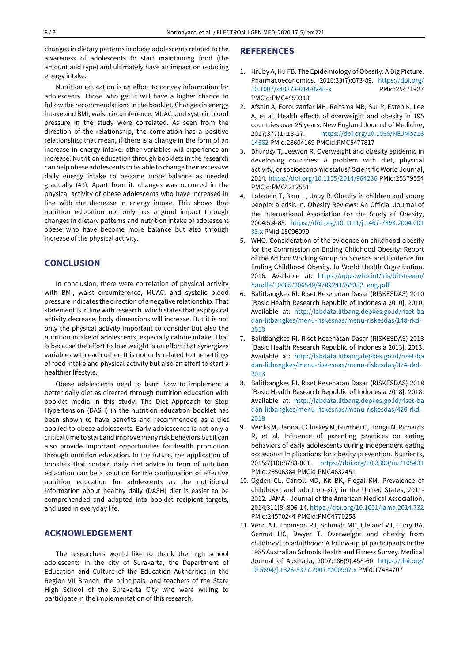changes in dietary patterns in obese adolescents related to the awareness of adolescents to start maintaining food (the amount and type) and ultimately have an impact on reducing energy intake.

Nutrition education is an effort to convey information for adolescents. Those who get it will have a higher chance to follow the recommendations in the booklet. Changes in energy intake and BMI, waist circumference, MUAC, and systolic blood pressure in the study were correlated. As seen from the direction of the relationship, the correlation has a positive relationship; that mean, if there is a change in the form of an increase in energy intake, other variables will experience an increase. Nutrition education through booklets in the research can help obese adolescents to be able to change their excessive daily energy intake to become more balance as needed gradually (43). Apart from it, changes was occurred in the physical activity of obese adolescents who have increased in line with the decrease in energy intake. This shows that nutrition education not only has a good impact through changes in dietary patterns and nutrition intake of adolescent obese who have become more balance but also through increase of the physical activity.

# **CONCLUSION**

In conclusion, there were correlation of physical activity with BMI, waist circumference, MUAC, and systolic blood pressure indicates the direction of a negative relationship. That statement is in line with research, which states that as physical activity decrease, body dimensions will increase. But it is not only the physical activity important to consider but also the nutrition intake of adolescents, especially calorie intake. That is because the effort to lose weight is an effort that synergizes variables with each other. It is not only related to the settings of food intake and physical activity but also an effort to start a healthier lifestyle.

Obese adolescents need to learn how to implement a better daily diet as directed through nutrition education with booklet media in this study. The Diet Approach to Stop Hypertension (DASH) in the nutrition education booklet has been shown to have benefits and recommended as a diet applied to obese adolescents. Early adolescence is not only a critical time to start and improve many risk behaviors but it can also provide important opportunities for health promotion through nutrition education. In the future, the application of booklets that contain daily diet advice in term of nutrition education can be a solution for the continuation of effective nutrition education for adolescents as the nutritional information about healthy daily (DASH) diet is easier to be comprehended and adapted into booklet recipient targets, and used in everyday life.

# **ACKNOWLEDGEMENT**

The researchers would like to thank the high school adolescents in the city of Surakarta, the Department of Education and Culture of the Education Authorities in the Region VII Branch, the principals, and teachers of the State High School of the Surakarta City who were willing to participate in the implementation of this research.

# **REFERENCES**

- 1. Hruby A, Hu FB. The Epidemiology of Obesity: A Big Picture. Pharmacoeconomics, 2016;33(7):673-89. [https://doi.org/](https://doi.org/10.1007/s40273-014-0243-x) [10.1007/s40273-014-0243-x](https://doi.org/10.1007/s40273-014-0243-x) PMid:25471927 PMCid:PMC4859313
- 2. Afshin A, Forouzanfar MH, Reitsma MB, Sur P, Estep K, Lee A, et al. Health effects of overweight and obesity in 195 countries over 25 years. New England Journal of Medicine, 2017;377(1):13-27. [https://doi.org/10.1056/NEJMoa16](https://doi.org/10.1056/NEJMoa1614362) [14362](https://doi.org/10.1056/NEJMoa1614362) PMid:28604169 PMCid:PMC5477817
- 3. Bhurosy T, Jeewon R. Overweight and obesity epidemic in developing countries: A problem with diet, physical activity, or socioeconomic status? Scientific World Journal, 2014. <https://doi.org/10.1155/2014/964236> PMid:25379554 PMCid:PMC4212551
- 4. Lobstein T, Baur L, Uauy R. Obesity in children and young people: a crisis in. Obesity Reviews: An Official Journal of the International Association for the Study of Obesity, 2004;5:4-85. [https://doi.org/10.1111/j.1467-789X.2004.001](https://doi.org/10.1111/j.1467-789X.2004.00133.x) [33.x](https://doi.org/10.1111/j.1467-789X.2004.00133.x) PMid:15096099
- 5. WHO. Consideration of the evidence on childhood obesity for the Commission on Ending Childhood Obesity: Report of the Ad hoc Working Group on Science and Evidence for Ending Childhood Obesity. In World Health Organization. 2016. Available at: [https://apps.who.int/iris/bitstream/](https://apps.who.int/iris/bitstream/handle/10665/206549/9789241565332_eng.pdf) [handle/10665/206549/9789241565332\\_eng.pdf](https://apps.who.int/iris/bitstream/handle/10665/206549/9789241565332_eng.pdf)
- 6. Balitbangkes RI. Riset Kesehatan Dasar (RISKESDAS) 2010 [Basic Health Research Republic of Indonesia 2010]. 2010. Available at: [http://labdata.litbang.depkes.go.id/riset-ba](http://labdata.litbang.depkes.go.id/riset-badan-litbangkes/menu-riskesnas/menu-riskesdas/148-rkd-2010) [dan-litbangkes/menu-riskesnas/menu-riskesdas/148-rkd-](http://labdata.litbang.depkes.go.id/riset-badan-litbangkes/menu-riskesnas/menu-riskesdas/148-rkd-2010)[2010](http://labdata.litbang.depkes.go.id/riset-badan-litbangkes/menu-riskesnas/menu-riskesdas/148-rkd-2010)
- 7. Balitbangkes RI. Riset Kesehatan Dasar (RISKESDAS) 2013 [Basic Health Research Republic of Indonesia 2013]. 2013. Available at: [http://labdata.litbang.depkes.go.id/riset-ba](http://labdata.litbang.depkes.go.id/riset-badan-litbangkes/menu-riskesnas/menu-riskesdas/374-rkd-2013) [dan-litbangkes/menu-riskesnas/menu-riskesdas/374-rkd-](http://labdata.litbang.depkes.go.id/riset-badan-litbangkes/menu-riskesnas/menu-riskesdas/374-rkd-2013)[2013](http://labdata.litbang.depkes.go.id/riset-badan-litbangkes/menu-riskesnas/menu-riskesdas/374-rkd-2013)
- 8. Balitbangkes RI. Riset Kesehatan Dasar (RISKESDAS) 2018 [Basic Health Research Republic of Indonesia 2018]. 2018. Available at: [http://labdata.litbang.depkes.go.id/riset-ba](http://labdata.litbang.depkes.go.id/riset-badan-litbangkes/menu-riskesnas/menu-riskesdas/426-rkd-2018) [dan-litbangkes/menu-riskesnas/menu-riskesdas/426-rkd-](http://labdata.litbang.depkes.go.id/riset-badan-litbangkes/menu-riskesnas/menu-riskesdas/426-rkd-2018)[2018](http://labdata.litbang.depkes.go.id/riset-badan-litbangkes/menu-riskesnas/menu-riskesdas/426-rkd-2018)
- 9. Reicks M, Banna J, Cluskey M, Gunther C, Hongu N, Richards R, et al. Influence of parenting practices on eating behaviors of early adolescents during independent eating occasions: Implications for obesity prevention. Nutrients, 2015;7(10):8783-801. <https://doi.org/10.3390/nu7105431> PMid:26506384 PMCid:PMC4632451
- 10. Ogden CL, Carroll MD, Kit BK, Flegal KM. Prevalence of childhood and adult obesity in the United States, 2011- 2012. JAMA - Journal of the American Medical Association, 2014;311(8):806-14. <https://doi.org/10.1001/jama.2014.732> PMid:24570244 PMCid:PMC4770258
- 11. Venn AJ, Thomson RJ, Schmidt MD, Cleland VJ, Curry BA, Gennat HC, Dwyer T. Overweight and obesity from childhood to adulthood: A follow-up of participants in the 1985 Australian Schools Health and Fitness Survey. Medical Journal of Australia, 2007;186(9):458-60. [https://doi.org/](https://doi.org/10.5694/j.1326-5377.2007.tb00997.x) [10.5694/j.1326-5377.2007.tb00997.x](https://doi.org/10.5694/j.1326-5377.2007.tb00997.x) PMid:17484707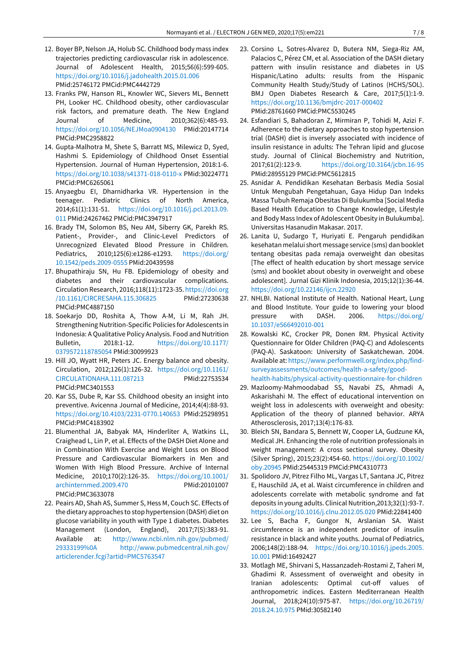- 12. Boyer BP, Nelson JA, Holub SC. Childhood body mass index trajectories predicting cardiovascular risk in adolescence. Journal of Adolescent Health, 2015;56(6):599-605. <https://doi.org/10.1016/j.jadohealth.2015.01.006> PMid:25746172 PMCid:PMC4442729
- 13. Franks PW, Hanson RL, Knowler WC, Sievers ML, Bennett PH, Looker HC. Childhood obesity, other cardiovascular risk factors, and premature death. The New England Journal of Medicine, 2010;362(6):485-93. <https://doi.org/10.1056/NEJMoa0904130> PMid:20147714 PMCid:PMC2958822
- 14. Gupta-Malhotra M, Shete S, Barratt MS, Milewicz D, Syed, Hashmi S. Epidemiology of Childhood Onset Essential Hypertension. Journal of Human Hypertension, 2018:1-6. <https://doi.org/10.1038/s41371-018-0110-x> PMid:30224771 PMCid:PMC6265061
- 15. Anyaegbu EI, Dharnidharka VR. Hypertension in the teenager. Pediatric Clinics of North America, 2014;61(1):131-51. [https://doi.org/10.1016/j.pcl.2013.09.](https://doi.org/10.1016/j.pcl.2013.09.011) [011](https://doi.org/10.1016/j.pcl.2013.09.011) PMid:24267462 PMCid:PMC3947917
- 16. Brady TM, Solomon BS, Neu AM, Siberry GK, Parekh RS. Patient-, Provider-, and Clinic-Level Predictors of Unrecognized Elevated Blood Pressure in Children. Pediatrics, 2010;125(6):e1286-e1293. [https://doi.org/](https://doi.org/10.1542/peds.2009-0555) [10.1542/peds.2009-0555](https://doi.org/10.1542/peds.2009-0555) PMid:20439598
- 17. Bhupathiraju SN, Hu FB. Epidemiology of obesity and diabetes and their cardiovascular complications. Circulation Research, 2016;118(11):1723-35. [https://doi.org](https://doi.org/10.1161/CIRCRESAHA.115.306825) [/10.1161/CIRCRESAHA.115.306825](https://doi.org/10.1161/CIRCRESAHA.115.306825) PMid:27230638 PMCid:PMC4887150
- 18. Soekarjo DD, Roshita A, Thow A-M, Li M, Rah JH. Strengthening Nutrition-Specific Policies for Adolescents in Indonesia: A Qualitative Policy Analysis. Food and Nutrition Bulletin, 2018:1-12. [https://doi.org/10.1177/](https://doi.org/10.1177/0379572118785054) [0379572118785054](https://doi.org/10.1177/0379572118785054) PMid:30099923
- 19. Hill JO, Wyatt HR, Peters JC. Energy balance and obesity. Circulation, 2012;126(1):126-32. [https://doi.org/10.1161/](https://doi.org/10.1161/CIRCULATIONAHA.111.087213) [CIRCULATIONAHA.111.087213](https://doi.org/10.1161/CIRCULATIONAHA.111.087213) PMid:22753534 PMCid:PMC3401553
- 20. Kar SS, Dube R, Kar SS. Childhood obesity an insight into preventive. Avicenna Journal of Medicine, 2014;4(4):88-93. <https://doi.org/10.4103/2231-0770.140653> PMid:25298951 PMCid:PMC4183902
- 21. Blumenthal JA, Babyak MA, Hinderliter A, Watkins LL, Craighead L, Lin P, et al. Effects of the DASH Diet Alone and in Combination With Exercise and Weight Loss on Blood Pressure and Cardiovascular Biomarkers in Men and Women With High Blood Pressure. Archive of Internal Medicine, 2010;170(2):126-35. [https://doi.org/10.1001/](https://doi.org/10.1001/archinternmed.2009.470) [archinternmed.2009.470](https://doi.org/10.1001/archinternmed.2009.470) PMid:20101007 PMCid:PMC3633078
- 22. Peairs AD, Shah AS, Summer S, Hess M, Couch SC. Effects of the dietary approaches to stop hypertension (DASH) diet on glucose variability in youth with Type 1 diabetes. Diabetes Management (London, England), 2017;7(5):383-91. Available at: [http://www.ncbi.nlm.nih.gov/pubmed/](http://www.ncbi.nlm.nih.gov/pubmed/29333199%0A) [29333199%0A](http://www.ncbi.nlm.nih.gov/pubmed/29333199%0A) [http://www.pubmedcentral.nih.gov/](http://www.pubmedcentral.nih.gov/articlerender.fcgi?artid=PMC5763547) [articlerender.fcgi?artid=PMC5763547](http://www.pubmedcentral.nih.gov/articlerender.fcgi?artid=PMC5763547)
- 23. Corsino L, Sotres-Alvarez D, Butera NM, Siega-Riz AM, Palacios C, Pérez CM, et al. Association of the DASH dietary pattern with insulin resistance and diabetes in US Hispanic/Latino adults: results from the Hispanic Community Health Study/Study of Latinos (HCHS/SOL). BMJ Open Diabetes Research & Care, 2017;5(1):1-9. <https://doi.org/10.1136/bmjdrc-2017-000402> PMid:28761660 PMCid:PMC5530245
- 24. Esfandiari S, Bahadoran Z, Mirmiran P, Tohidi M, Azizi F. Adherence to the dietary approaches to stop hypertension trial (DASH) diet is inversely associated with incidence of insulin resistance in adults: The Tehran lipid and glucose study. Journal of Clinical Biochemistry and Nutrition, 2017;61(2):123-9. <https://doi.org/10.3164/jcbn.16-95> PMid:28955129 PMCid:PMC5612815
- 25. Asnidar A. Pendidikan Kesehatan Berbasis Media Sosial Untuk Mengubah Pengetahuan, Gaya Hidup Dan Indeks Massa Tubuh Remaja Obesitas Di Bulukumba [Social Media Based Health Education to Change Knowledge, Lifestyle and Body Mass Index of Adolescent Obesity in Bulukumba]. Universitas Hasanudin Makasar. 2017.
- 26. Lanita U, Sudargo T, Huriyati E. Pengaruh pendidikan kesehatan melalui short message service (sms) dan booklet tentang obesitas pada remaja overweight dan obesitas [The effect of health education by short message service (sms) and booklet about obesity in overweight and obese adolescent]. Jurnal Gizi Klinik Indonesia, 2015;12(1):36-44. <https://doi.org/10.22146/ijcn.22920>
- 27. NHLBI. National Institute of Health. National Heart, Lung and Blood Institute. Your guide to lowering your blood pressure with DASH. 2006. [https://doi.org/](https://doi.org/10.1037/e566492010-001) [10.1037/e566492010-001](https://doi.org/10.1037/e566492010-001)
- 28. Kowalski KC, Crocker PR, Donen RM. Physical Activity Questionnaire for Older Children (PAQ-C) and Adolescents (PAQ-A). Saskatoon: University of Saskatchewan. 2004. Available at: [https://www.performwell.org/index.php/find](https://www.performwell.org/index.php/find-surveyassessments/outcomes/health-a-safety/good-health-habits/physical-activity-questionnaire-for-children)[surveyassessments/outcomes/health-a-safety/good](https://www.performwell.org/index.php/find-surveyassessments/outcomes/health-a-safety/good-health-habits/physical-activity-questionnaire-for-children)[health-habits/physical-activity-questionnaire-for-children](https://www.performwell.org/index.php/find-surveyassessments/outcomes/health-a-safety/good-health-habits/physical-activity-questionnaire-for-children)
- 29. Mazloomy-Mahmoodabad SS, Navabi ZS, Ahmadi A, Askarishahi M. The effect of educational intervention on weight loss in adolescents with overweight and obesity: Application of the theory of planned behavior. ARYA Atherosclerosis, 2017;13(4):176-83.
- 30. Bleich SN, Bandara S, Bennett W, Cooper LA, Gudzune KA, Medical JH. Enhancing the role of nutrition professionals in weight management: A cross sectional survey. Obesity (Silver Spring), 2015;23(2):454-60. [https://doi.org/10.1002/](https://doi.org/10.1002/oby.20945) [oby.20945](https://doi.org/10.1002/oby.20945) PMid:25445319 PMCid:PMC4310773
- 31. Spolidoro JV, Pitrez Filho ML, Vargas LT, Santana JC, Pitrez E, Hauschild JA, et al. Waist circumference in children and adolescents correlate with metabolic syndrome and fat deposits in young adults. Clinical Nutrition,2013;32(1):93-7. <https://doi.org/10.1016/j.clnu.2012.05.020> PMid:22841400
- 32. Lee S, Bacha F, Gungor N, Arslanian SA. Waist circumference is an independent predictor of insulin resistance in black and white youths. Journal of Pediatrics, 2006;148(2):188-94. [https://doi.org/10.1016/j.jpeds.2005.](https://doi.org/10.1016/j.jpeds.2005.10.001) [10.001](https://doi.org/10.1016/j.jpeds.2005.10.001) PMid:16492427
- 33. Motlagh ME, Shirvani S, Hassanzadeh-Rostami Z, Taheri M, Ghadimi R. Assessment of overweight and obesity in Iranian adolescents: Optimal cut-off values of anthropometric indices. Eastern Mediterranean Health Journal, 2018;24(10):975-87. [https://doi.org/10.26719/](https://doi.org/10.26719/2018.24.10.975) [2018.24.10.975](https://doi.org/10.26719/2018.24.10.975) PMid:30582140